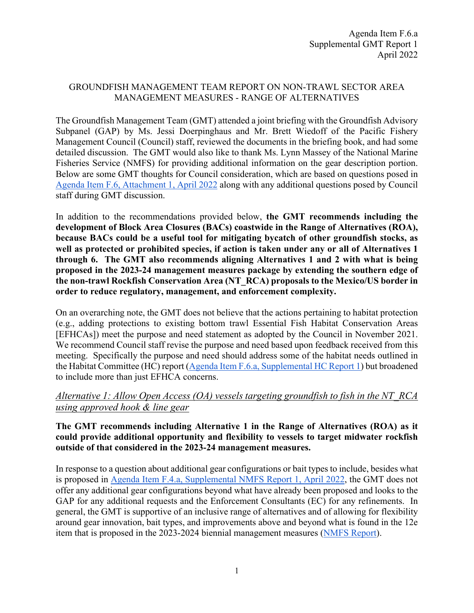### GROUNDFISH MANAGEMENT TEAM REPORT ON NON-TRAWL SECTOR AREA MANAGEMENT MEASURES - RANGE OF ALTERNATIVES

The Groundfish Management Team (GMT) attended a joint briefing with the Groundfish Advisory Subpanel (GAP) by Ms. Jessi Doerpinghaus and Mr. Brett Wiedoff of the Pacific Fishery Management Council (Council) staff, reviewed the documents in the briefing book, and had some detailed discussion. The GMT would also like to thank Ms. Lynn Massey of the National Marine Fisheries Service (NMFS) for providing additional information on the gear description portion. Below are some GMT thoughts for Council consideration, which are based on questions posed in [Agenda Item F.6, Attachment 1, April 2022](https://www.pcouncil.org/documents/2022/03/f-6-attachment-1-electronic-only-non-trawl-sector-management-measures-analysis-to-support-the-development-of-a-range-of-alternatives.pdf/) along with any additional questions posed by Council staff during GMT discussion.

In addition to the recommendations provided below, **the GMT recommends including the development of Block Area Closures (BACs) coastwide in the Range of Alternatives (ROA), because BACs could be a useful tool for mitigating bycatch of other groundfish stocks, as well as protected or prohibited species, if action is taken under any or all of Alternatives 1 through 6. The GMT also recommends aligning Alternatives 1 and 2 with what is being proposed in the 2023-24 management measures package by extending the southern edge of the non-trawl Rockfish Conservation Area (NT\_RCA) proposals to the Mexico/US border in order to reduce regulatory, management, and enforcement complexity.** 

On an overarching note, the GMT does not believe that the actions pertaining to habitat protection (e.g., adding protections to existing bottom trawl Essential Fish Habitat Conservation Areas [EFHCAs]) meet the purpose and need statement as adopted by the Council in November 2021. We recommend Council staff revise the purpose and need based upon feedback received from this meeting. Specifically the purpose and need should address some of the habitat needs outlined in the Habitat Committee (HC) report (Agenda Item F.6.a, [Supplemental HC Report 1\)](https://www.pcouncil.org/documents/2022/04/f-6-a-supplemental-hc-report-1.pdf/) but broadened to include more than just EFHCA concerns.

## *Alternative 1: Allow Open Access (OA) vessels targeting groundfish to fish in the NT\_RCA using approved hook & line gear*

### **The GMT recommends including Alternative 1 in the Range of Alternatives (ROA) as it could provide additional opportunity and flexibility to vessels to target midwater rockfish outside of that considered in the 2023-24 management measures.**

In response to a question about additional gear configurations or bait types to include, besides what is proposed in [Agenda Item F.4.a, Supplemental NMFS Report 1, April 2022,](https://www.pcouncil.org/documents/2022/03/f-4-a-supplemental-nmfs-report-1-2.pdf/) the GMT does not offer any additional gear configurations beyond what have already been proposed and looks to the GAP for any additional requests and the Enforcement Consultants (EC) for any refinements. In general, the GMT is supportive of an inclusive range of alternatives and of allowing for flexibility around gear innovation, bait types, and improvements above and beyond what is found in the 12e item that is proposed in the 2023-2024 biennial management measures [\(NMFS Report\)](https://www.pcouncil.org/documents/2022/03/f-4-a-supplemental-nmfs-report-1-2.pdf/).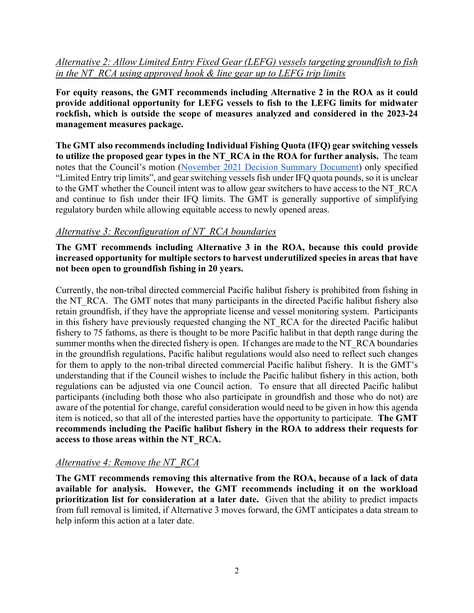*Alternative 2: Allow Limited Entry Fixed Gear (LEFG) vessels targeting groundfish to fish in the NT\_RCA using approved hook & line gear up to LEFG trip limits*

**For equity reasons, the GMT recommends including Alternative 2 in the ROA as it could provide additional opportunity for LEFG vessels to fish to the LEFG limits for midwater rockfish, which is outside the scope of measures analyzed and considered in the 2023-24 management measures package.** 

**The GMT also recommends including Individual Fishing Quota (IFQ) gear switching vessels to utilize the proposed gear types in the NT\_RCA in the ROA for further analysis.** The team notes that the Council's motion [\(November 2021 Decision Summary Document\)](https://www.pcouncil.org/november-2021-decision-summary-document/#groundfish-management-toc-86dd10cf-b75a-495f-8904-085666f47642) only specified "Limited Entry trip limits", and gear switching vessels fish under IFQ quota pounds, so it is unclear to the GMT whether the Council intent was to allow gear switchers to have access to the NT\_RCA and continue to fish under their IFQ limits. The GMT is generally supportive of simplifying regulatory burden while allowing equitable access to newly opened areas.

# *Alternative 3: Reconfiguration of NT\_RCA boundaries*

## **The GMT recommends including Alternative 3 in the ROA, because this could provide increased opportunity for multiple sectors to harvest underutilized species in areas that have not been open to groundfish fishing in 20 years.**

Currently, the non-tribal directed commercial Pacific halibut fishery is prohibited from fishing in the NT\_RCA. The GMT notes that many participants in the directed Pacific halibut fishery also retain groundfish, if they have the appropriate license and vessel monitoring system. Participants in this fishery have previously requested changing the NT\_RCA for the directed Pacific halibut fishery to 75 fathoms, as there is thought to be more Pacific halibut in that depth range during the summer months when the directed fishery is open. If changes are made to the NT\_RCA boundaries in the groundfish regulations, Pacific halibut regulations would also need to reflect such changes for them to apply to the non-tribal directed commercial Pacific halibut fishery. It is the GMT's understanding that if the Council wishes to include the Pacific halibut fishery in this action, both regulations can be adjusted via one Council action. To ensure that all directed Pacific halibut participants (including both those who also participate in groundfish and those who do not) are aware of the potential for change, careful consideration would need to be given in how this agenda item is noticed, so that all of the interested parties have the opportunity to participate. **The GMT recommends including the Pacific halibut fishery in the ROA to address their requests for access to those areas within the NT\_RCA.**

# *Alternative 4: Remove the NT\_RCA*

**The GMT recommends removing this alternative from the ROA, because of a lack of data available for analysis. However, the GMT recommends including it on the workload prioritization list for consideration at a later date.** Given that the ability to predict impacts from full removal is limited, if Alternative 3 moves forward, the GMT anticipates a data stream to help inform this action at a later date.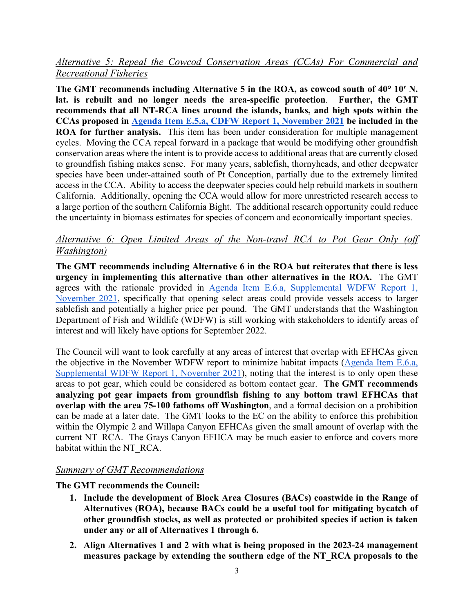# *Alternative 5: Repeal the Cowcod Conservation Areas (CCAs) For Commercial and Recreational Fisheries*

**The GMT recommends including Alternative 5 in the ROA, as cowcod south of 40° 10′ N. lat. is rebuilt and no longer needs the area-specific protection**. **Further, the GMT recommends that all NT-RCA lines around the islands, banks, and high spots within the CCAs proposed in Agenda Item E.5.a, [CDFW Report 1, November](https://www.pcouncil.org/documents/2021/11/e-5-a-supplemental-cdfw-report-1.pdf/) 2021 be included in the ROA for further analysis.** This item has been under consideration for multiple management cycles. Moving the CCA repeal forward in a package that would be modifying other groundfish conservation areas where the intent is to provide access to additional areas that are currently closed to groundfish fishing makes sense. For many years, sablefish, thornyheads, and other deepwater species have been under-attained south of Pt Conception, partially due to the extremely limited access in the CCA. Ability to access the deepwater species could help rebuild markets in southern California. Additionally, opening the CCA would allow for more unrestricted research access to a large portion of the southern California Bight. The additional research opportunity could reduce the uncertainty in biomass estimates for species of concern and economically important species.

# *Alternative 6: Open Limited Areas of the Non-trawl RCA to Pot Gear Only (off Washington)*

**The GMT recommends including Alternative 6 in the ROA but reiterates that there is less urgency in implementing this alternative than other alternatives in the ROA.** The GMT agrees with the rationale provided in [Agenda Item E.6.a, Supplemental WDFW Report 1,](https://www.pcouncil.org/documents/2021/11/e-6-a-supplemental-wdfw-report-1.pdf/)  [November 2021,](https://www.pcouncil.org/documents/2021/11/e-6-a-supplemental-wdfw-report-1.pdf/) specifically that opening select areas could provide vessels access to larger sablefish and potentially a higher price per pound. The GMT understands that the Washington Department of Fish and Wildlife (WDFW) is still working with stakeholders to identify areas of interest and will likely have options for September 2022.

The Council will want to look carefully at any areas of interest that overlap with EFHCAs given the objective in the November WDFW report to minimize habitat impacts [\(Agenda Item E.6.a,](https://www.pcouncil.org/documents/2021/11/e-6-a-supplemental-wdfw-report-1.pdf/)  [Supplemental WDFW Report 1, November 2021\)](https://www.pcouncil.org/documents/2021/11/e-6-a-supplemental-wdfw-report-1.pdf/), noting that the interest is to only open these areas to pot gear, which could be considered as bottom contact gear. **The GMT recommends analyzing pot gear impacts from groundfish fishing to any bottom trawl EFHCAs that overlap with the area 75-100 fathoms off Washington**, and a formal decision on a prohibition can be made at a later date. The GMT looks to the EC on the ability to enforce this prohibition within the Olympic 2 and Willapa Canyon EFHCAs given the small amount of overlap with the current NT\_RCA. The Grays Canyon EFHCA may be much easier to enforce and covers more habitat within the NT\_RCA.

## *Summary of GMT Recommendations*

## **The GMT recommends the Council:**

- **1. Include the development of Block Area Closures (BACs) coastwide in the Range of Alternatives (ROA), because BACs could be a useful tool for mitigating bycatch of other groundfish stocks, as well as protected or prohibited species if action is taken under any or all of Alternatives 1 through 6.**
- **2. Align Alternatives 1 and 2 with what is being proposed in the 2023-24 management measures package by extending the southern edge of the NT\_RCA proposals to the**